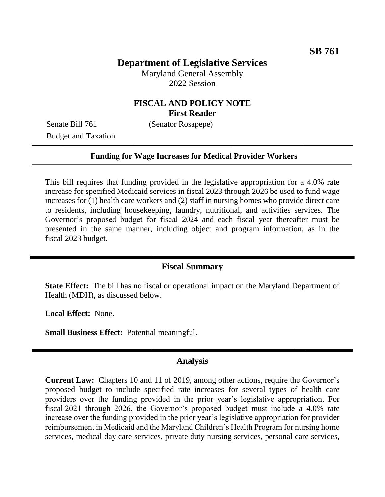## **Department of Legislative Services**

Maryland General Assembly 2022 Session

### **FISCAL AND POLICY NOTE First Reader**

Senate Bill 761 (Senator Rosapepe) Budget and Taxation

#### **Funding for Wage Increases for Medical Provider Workers**

This bill requires that funding provided in the legislative appropriation for a 4.0% rate increase for specified Medicaid services in fiscal 2023 through 2026 be used to fund wage increases for (1) health care workers and (2) staff in nursing homes who provide direct care to residents, including housekeeping, laundry, nutritional, and activities services. The Governor's proposed budget for fiscal 2024 and each fiscal year thereafter must be presented in the same manner, including object and program information, as in the fiscal 2023 budget.

#### **Fiscal Summary**

**State Effect:** The bill has no fiscal or operational impact on the Maryland Department of Health (MDH), as discussed below.

**Local Effect:** None.

**Small Business Effect:** Potential meaningful.

#### **Analysis**

**Current Law:** Chapters 10 and 11 of 2019, among other actions, require the Governor's proposed budget to include specified rate increases for several types of health care providers over the funding provided in the prior year's legislative appropriation. For fiscal 2021 through 2026, the Governor's proposed budget must include a 4.0% rate increase over the funding provided in the prior year's legislative appropriation for provider reimbursement in Medicaid and the Maryland Children's Health Program for nursing home services, medical day care services, private duty nursing services, personal care services,